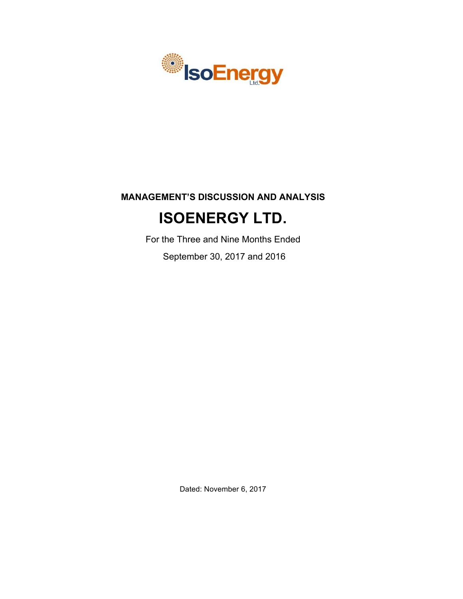

# **MANAGEMENT'S DISCUSSION AND ANALYSIS**

# **ISOENERGY LTD.**

For the Three and Nine Months Ended

September 30, 2017 and 2016

Dated: November 6, 2017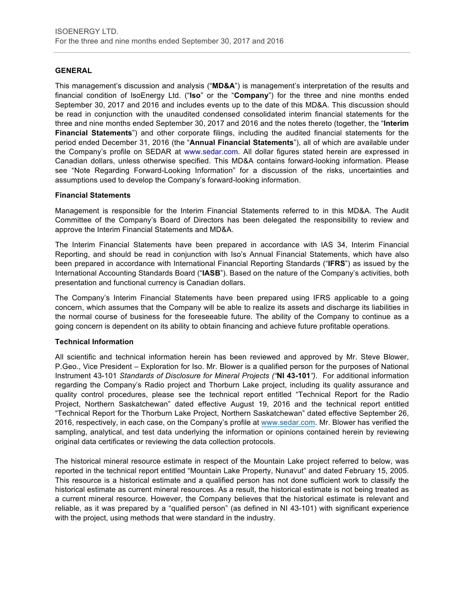# **GENERAL**

This management's discussion and analysis ("**MD&A**") is management's interpretation of the results and financial condition of IsoEnergy Ltd. ("**Iso**" or the "**Company**") for the three and nine months ended September 30, 2017 and 2016 and includes events up to the date of this MD&A. This discussion should be read in conjunction with the unaudited condensed consolidated interim financial statements for the three and nine months ended September 30, 2017 and 2016 and the notes thereto (together, the "**Interim Financial Statements**") and other corporate filings, including the audited financial statements for the period ended December 31, 2016 (the "**Annual Financial Statements**"), all of which are available under the Company's profile on SEDAR at www.sedar.com. All dollar figures stated herein are expressed in Canadian dollars, unless otherwise specified. This MD&A contains forward-looking information. Please see "Note Regarding Forward-Looking Information" for a discussion of the risks, uncertainties and assumptions used to develop the Company's forward-looking information.

### **Financial Statements**

Management is responsible for the Interim Financial Statements referred to in this MD&A. The Audit Committee of the Company's Board of Directors has been delegated the responsibility to review and approve the Interim Financial Statements and MD&A.

The Interim Financial Statements have been prepared in accordance with IAS 34, Interim Financial Reporting, and should be read in conjunction with Iso's Annual Financial Statements, which have also been prepared in accordance with International Financial Reporting Standards ("**IFRS**") as issued by the International Accounting Standards Board ("**IASB**"). Based on the nature of the Company's activities, both presentation and functional currency is Canadian dollars.

The Company's Interim Financial Statements have been prepared using IFRS applicable to a going concern, which assumes that the Company will be able to realize its assets and discharge its liabilities in the normal course of business for the foreseeable future. The ability of the Company to continue as a going concern is dependent on its ability to obtain financing and achieve future profitable operations.

# **Technical Information**

All scientific and technical information herein has been reviewed and approved by Mr. Steve Blower, P.Geo., Vice President – Exploration for Iso. Mr. Blower is a qualified person for the purposes of National Instrument 43-101 *Standards of Disclosure for Mineral Projects ("***NI 43-101***")*. For additional information regarding the Company's Radio project and Thorburn Lake project, including its quality assurance and quality control procedures, please see the technical report entitled "Technical Report for the Radio Project, Northern Saskatchewan" dated effective August 19, 2016 and the technical report entitled "Technical Report for the Thorburn Lake Project, Northern Saskatchewan" dated effective September 26, 2016, respectively, in each case, on the Company's profile at [www.sedar.com](http://www.sedar.com). Mr. Blower has verified the sampling, analytical, and test data underlying the information or opinions contained herein by reviewing original data certificates or reviewing the data collection protocols.

The historical mineral resource estimate in respect of the Mountain Lake project referred to below, was reported in the technical report entitled "Mountain Lake Property, Nunavut" and dated February 15, 2005. This resource is a historical estimate and a qualified person has not done sufficient work to classify the historical estimate as current mineral resources. As a result, the historical estimate is not being treated as a current mineral resource. However, the Company believes that the historical estimate is relevant and reliable, as it was prepared by a "qualified person" (as defined in NI 43-101) with significant experience with the project, using methods that were standard in the industry.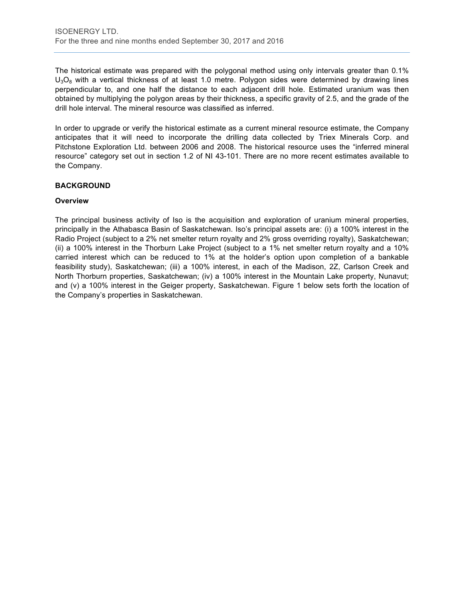The historical estimate was prepared with the polygonal method using only intervals greater than 0.1%  $U_3O_8$  with a vertical thickness of at least 1.0 metre. Polygon sides were determined by drawing lines perpendicular to, and one half the distance to each adjacent drill hole. Estimated uranium was then obtained by multiplying the polygon areas by their thickness, a specific gravity of 2.5, and the grade of the drill hole interval. The mineral resource was classified as inferred.

In order to upgrade or verify the historical estimate as a current mineral resource estimate, the Company anticipates that it will need to incorporate the drilling data collected by Triex Minerals Corp. and Pitchstone Exploration Ltd. between 2006 and 2008. The historical resource uses the "inferred mineral resource" category set out in section 1.2 of NI 43-101. There are no more recent estimates available to the Company.

# **BACKGROUND**

### **Overview**

The principal business activity of Iso is the acquisition and exploration of uranium mineral properties, principally in the Athabasca Basin of Saskatchewan. Iso's principal assets are: (i) a 100% interest in the Radio Project (subject to a 2% net smelter return royalty and 2% gross overriding royalty), Saskatchewan; (ii) a 100% interest in the Thorburn Lake Project (subject to a 1% net smelter return royalty and a 10% carried interest which can be reduced to 1% at the holder's option upon completion of a bankable feasibility study), Saskatchewan; (iii) a 100% interest, in each of the Madison, 2Z, Carlson Creek and North Thorburn properties, Saskatchewan; (iv) a 100% interest in the Mountain Lake property, Nunavut; and (v) a 100% interest in the Geiger property, Saskatchewan. Figure 1 below sets forth the location of the Company's properties in Saskatchewan.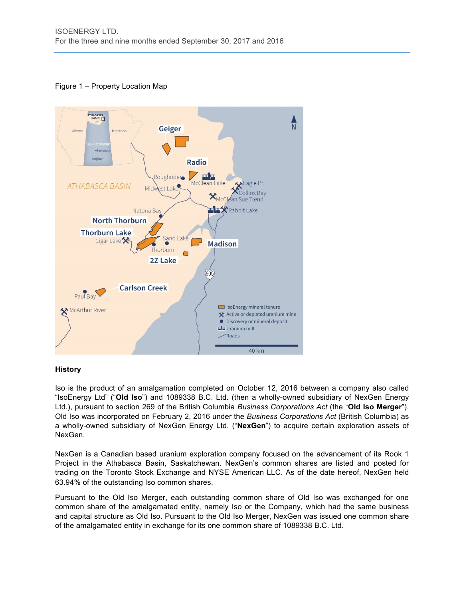# Figure 1 – Property Location Map



# **History**

Iso is the product of an amalgamation completed on October 12, 2016 between a company also called "IsoEnergy Ltd" ("**Old Iso**") and 1089338 B.C. Ltd. (then a wholly-owned subsidiary of NexGen Energy Ltd.), pursuant to section 269 of the British Columbia *Business Corporations Act* (the "**Old Iso Merger**"). Old Iso was incorporated on February 2, 2016 under the *Business Corporations Act* (British Columbia) as a wholly-owned subsidiary of NexGen Energy Ltd. ("**NexGen**") to acquire certain exploration assets of NexGen.

NexGen is a Canadian based uranium exploration company focused on the advancement of its Rook 1 Project in the Athabasca Basin, Saskatchewan. NexGen's common shares are listed and posted for trading on the Toronto Stock Exchange and NYSE American LLC. As of the date hereof, NexGen held 63.94% of the outstanding Iso common shares.

Pursuant to the Old Iso Merger, each outstanding common share of Old Iso was exchanged for one common share of the amalgamated entity, namely Iso or the Company, which had the same business and capital structure as Old Iso. Pursuant to the Old Iso Merger, NexGen was issued one common share of the amalgamated entity in exchange for its one common share of 1089338 B.C. Ltd.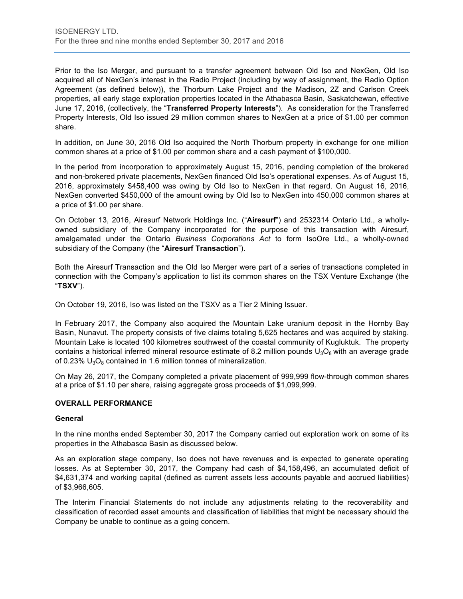Prior to the Iso Merger, and pursuant to a transfer agreement between Old Iso and NexGen, Old Iso acquired all of NexGen's interest in the Radio Project (including by way of assignment, the Radio Option Agreement (as defined below)), the Thorburn Lake Project and the Madison, 2Z and Carlson Creek properties, all early stage exploration properties located in the Athabasca Basin, Saskatchewan, effective June 17, 2016, (collectively, the "**Transferred Property Interests**"). As consideration for the Transferred Property Interests, Old Iso issued 29 million common shares to NexGen at a price of \$1.00 per common share.

In addition, on June 30, 2016 Old Iso acquired the North Thorburn property in exchange for one million common shares at a price of \$1.00 per common share and a cash payment of \$100,000.

In the period from incorporation to approximately August 15, 2016, pending completion of the brokered and non-brokered private placements, NexGen financed Old Iso's operational expenses. As of August 15, 2016, approximately \$458,400 was owing by Old Iso to NexGen in that regard. On August 16, 2016, NexGen converted \$450,000 of the amount owing by Old Iso to NexGen into 450,000 common shares at a price of \$1.00 per share.

On October 13, 2016, Airesurf Network Holdings Inc. ("**Airesurf**") and 2532314 Ontario Ltd., a whollyowned subsidiary of the Company incorporated for the purpose of this transaction with Airesurf, amalgamated under the Ontario *Business Corporations Act* to form IsoOre Ltd., a wholly-owned subsidiary of the Company (the "**Airesurf Transaction**").

Both the Airesurf Transaction and the Old Iso Merger were part of a series of transactions completed in connection with the Company's application to list its common shares on the TSX Venture Exchange (the "**TSXV**").

On October 19, 2016, Iso was listed on the TSXV as a Tier 2 Mining Issuer.

In February 2017, the Company also acquired the Mountain Lake uranium deposit in the Hornby Bay Basin, Nunavut. The property consists of five claims totaling 5,625 hectares and was acquired by staking. Mountain Lake is located 100 kilometres southwest of the coastal community of Kugluktuk. The property contains a historical inferred mineral resource estimate of 8.2 million pounds  $U_3O_8$  with an average grade of 0.23%  $U_3O_8$  contained in 1.6 million tonnes of mineralization.

On May 26, 2017, the Company completed a private placement of 999,999 flow-through common shares at a price of \$1.10 per share, raising aggregate gross proceeds of \$1,099,999.

#### **OVERALL PERFORMANCE**

#### **General**

In the nine months ended September 30, 2017 the Company carried out exploration work on some of its properties in the Athabasca Basin as discussed below.

As an exploration stage company, Iso does not have revenues and is expected to generate operating losses. As at September 30, 2017, the Company had cash of \$4,158,496, an accumulated deficit of \$4,631,374 and working capital (defined as current assets less accounts payable and accrued liabilities) of \$3,966,605.

The Interim Financial Statements do not include any adjustments relating to the recoverability and classification of recorded asset amounts and classification of liabilities that might be necessary should the Company be unable to continue as a going concern.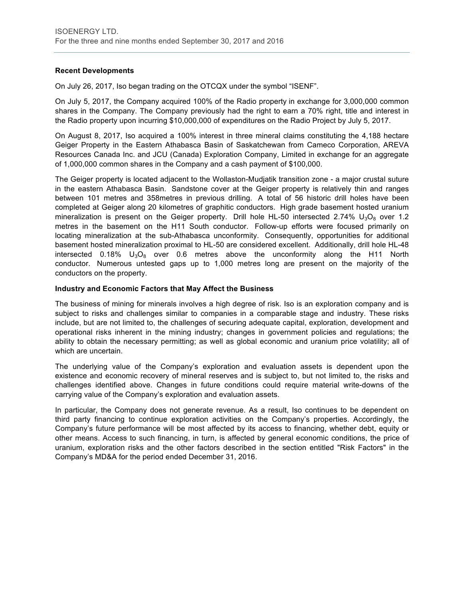# **Recent Developments**

On July 26, 2017, Iso began trading on the OTCQX under the symbol "ISENF".

On July 5, 2017, the Company acquired 100% of the Radio property in exchange for 3,000,000 common shares in the Company. The Company previously had the right to earn a 70% right, title and interest in the Radio property upon incurring \$10,000,000 of expenditures on the Radio Project by July 5, 2017.

On August 8, 2017, Iso acquired a 100% interest in three mineral claims constituting the 4,188 hectare Geiger Property in the Eastern Athabasca Basin of Saskatchewan from Cameco Corporation, AREVA Resources Canada Inc. and JCU (Canada) Exploration Company, Limited in exchange for an aggregate of 1,000,000 common shares in the Company and a cash payment of \$100,000.

The Geiger property is located adjacent to the Wollaston-Mudjatik transition zone - a major crustal suture in the eastern Athabasca Basin. Sandstone cover at the Geiger property is relatively thin and ranges between 101 metres and 358metres in previous drilling. A total of 56 historic drill holes have been completed at Geiger along 20 kilometres of graphitic conductors. High grade basement hosted uranium mineralization is present on the Geiger property. Drill hole HL-50 intersected 2.74%  $U_3O_8$  over 1.2 metres in the basement on the H11 South conductor. Follow-up efforts were focused primarily on locating mineralization at the sub-Athabasca unconformity. Consequently, opportunities for additional basement hosted mineralization proximal to HL-50 are considered excellent. Additionally, drill hole HL-48 intersected 0.18%  $U_3O_8$  over 0.6 metres above the unconformity along the H11 North conductor. Numerous untested gaps up to 1,000 metres long are present on the majority of the conductors on the property.

#### **Industry and Economic Factors that May Affect the Business**

The business of mining for minerals involves a high degree of risk. Iso is an exploration company and is subject to risks and challenges similar to companies in a comparable stage and industry. These risks include, but are not limited to, the challenges of securing adequate capital, exploration, development and operational risks inherent in the mining industry; changes in government policies and regulations; the ability to obtain the necessary permitting; as well as global economic and uranium price volatility; all of which are uncertain.

The underlying value of the Company's exploration and evaluation assets is dependent upon the existence and economic recovery of mineral reserves and is subject to, but not limited to, the risks and challenges identified above. Changes in future conditions could require material write-downs of the carrying value of the Company's exploration and evaluation assets.

In particular, the Company does not generate revenue. As a result, Iso continues to be dependent on third party financing to continue exploration activities on the Company's properties. Accordingly, the Company's future performance will be most affected by its access to financing, whether debt, equity or other means. Access to such financing, in turn, is affected by general economic conditions, the price of uranium, exploration risks and the other factors described in the section entitled "Risk Factors" in the Company's MD&A for the period ended December 31, 2016.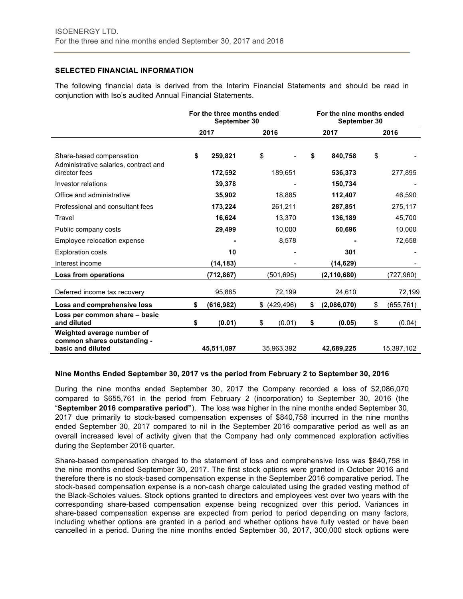# **SELECTED FINANCIAL INFORMATION**

The following financial data is derived from the Interim Financial Statements and should be read in conjunction with Iso's audited Annual Financial Statements.

|                                                                                    | For the three months ended<br>September 30 |                    |    |            |        | For the nine months ended<br>September 30 |      |            |  |
|------------------------------------------------------------------------------------|--------------------------------------------|--------------------|----|------------|--------|-------------------------------------------|------|------------|--|
|                                                                                    |                                            | 2017               |    | 2016       |        | 2017                                      | 2016 |            |  |
| Share-based compensation<br>Administrative salaries, contract and<br>director fees | \$                                         | 259,821<br>172,592 | \$ | 189,651    | \$     | 840,758<br>536,373                        | \$   | 277,895    |  |
| Investor relations                                                                 |                                            | 39,378             |    |            |        | 150,734                                   |      |            |  |
| Office and administrative                                                          |                                            | 35,902             |    | 18,885     |        | 112,407                                   |      | 46,590     |  |
| Professional and consultant fees                                                   |                                            | 173,224            |    | 261,211    |        | 287,851                                   |      | 275,117    |  |
| Travel                                                                             |                                            | 16,624             |    | 13,370     |        | 136,189                                   |      | 45,700     |  |
| Public company costs                                                               |                                            | 29,499             |    | 10,000     | 60,696 |                                           |      | 10,000     |  |
| Employee relocation expense                                                        |                                            |                    |    | 8,578      |        |                                           |      | 72,658     |  |
| <b>Exploration costs</b>                                                           |                                            | 10                 |    |            |        | 301                                       |      |            |  |
| Interest income                                                                    |                                            | (14, 183)          |    |            |        | (14, 629)                                 |      |            |  |
| Loss from operations                                                               |                                            | (712, 867)         |    | (501,695)  |        | (2, 110, 680)                             |      | (727,960)  |  |
| Deferred income tax recovery                                                       |                                            | 95,885             |    | 72,199     |        | 24,610                                    |      | 72,199     |  |
| Loss and comprehensive loss                                                        | \$                                         | (616, 982)         | \$ | (429, 496) | \$     | (2,086,070)                               | \$   | (655, 761) |  |
| Loss per common share - basic<br>and diluted                                       | \$                                         | (0.01)             | \$ | (0.01)     | \$     | (0.05)                                    | \$   | (0.04)     |  |
| Weighted average number of<br>common shares outstanding -<br>basic and diluted     |                                            | 45,511,097         |    | 35,963,392 |        | 42,689,225                                |      | 15,397,102 |  |

#### **Nine Months Ended September 30, 2017 vs the period from February 2 to September 30, 2016**

During the nine months ended September 30, 2017 the Company recorded a loss of \$2,086,070 compared to \$655,761 in the period from February 2 (incorporation) to September 30, 2016 (the "**September 2016 comparative period"**). The loss was higher in the nine months ended September 30, 2017 due primarily to stock-based compensation expenses of \$840,758 incurred in the nine months ended September 30, 2017 compared to nil in the September 2016 comparative period as well as an overall increased level of activity given that the Company had only commenced exploration activities during the September 2016 quarter.

Share-based compensation charged to the statement of loss and comprehensive loss was \$840,758 in the nine months ended September 30, 2017. The first stock options were granted in October 2016 and therefore there is no stock-based compensation expense in the September 2016 comparative period. The stock-based compensation expense is a non-cash charge calculated using the graded vesting method of the Black-Scholes values. Stock options granted to directors and employees vest over two years with the corresponding share-based compensation expense being recognized over this period. Variances in share-based compensation expense are expected from period to period depending on many factors, including whether options are granted in a period and whether options have fully vested or have been cancelled in a period. During the nine months ended September 30, 2017, 300,000 stock options were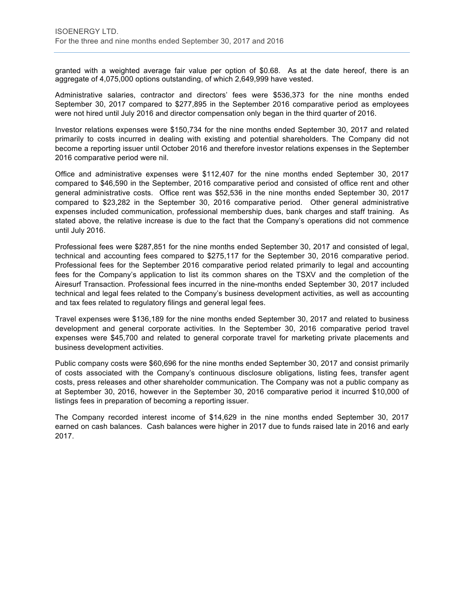granted with a weighted average fair value per option of \$0.68. As at the date hereof, there is an aggregate of 4,075,000 options outstanding, of which 2,649,999 have vested.

Administrative salaries, contractor and directors' fees were \$536,373 for the nine months ended September 30, 2017 compared to \$277,895 in the September 2016 comparative period as employees were not hired until July 2016 and director compensation only began in the third quarter of 2016.

Investor relations expenses were \$150,734 for the nine months ended September 30, 2017 and related primarily to costs incurred in dealing with existing and potential shareholders. The Company did not become a reporting issuer until October 2016 and therefore investor relations expenses in the September 2016 comparative period were nil.

Office and administrative expenses were \$112,407 for the nine months ended September 30, 2017 compared to \$46,590 in the September, 2016 comparative period and consisted of office rent and other general administrative costs. Office rent was \$52,536 in the nine months ended September 30, 2017 compared to \$23,282 in the September 30, 2016 comparative period. Other general administrative expenses included communication, professional membership dues, bank charges and staff training. As stated above, the relative increase is due to the fact that the Company's operations did not commence until July 2016.

Professional fees were \$287,851 for the nine months ended September 30, 2017 and consisted of legal, technical and accounting fees compared to \$275,117 for the September 30, 2016 comparative period. Professional fees for the September 2016 comparative period related primarily to legal and accounting fees for the Company's application to list its common shares on the TSXV and the completion of the Airesurf Transaction. Professional fees incurred in the nine-months ended September 30, 2017 included technical and legal fees related to the Company's business development activities, as well as accounting and tax fees related to regulatory filings and general legal fees.

Travel expenses were \$136,189 for the nine months ended September 30, 2017 and related to business development and general corporate activities. In the September 30, 2016 comparative period travel expenses were \$45,700 and related to general corporate travel for marketing private placements and business development activities.

Public company costs were \$60,696 for the nine months ended September 30, 2017 and consist primarily of costs associated with the Company's continuous disclosure obligations, listing fees, transfer agent costs, press releases and other shareholder communication. The Company was not a public company as at September 30, 2016, however in the September 30, 2016 comparative period it incurred \$10,000 of listings fees in preparation of becoming a reporting issuer.

The Company recorded interest income of \$14,629 in the nine months ended September 30, 2017 earned on cash balances. Cash balances were higher in 2017 due to funds raised late in 2016 and early 2017.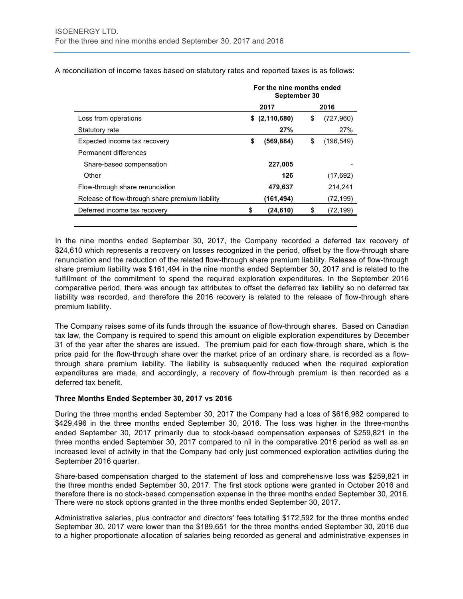|                                                 | For the nine months ended<br>September 30 |               |    |            |  |  |
|-------------------------------------------------|-------------------------------------------|---------------|----|------------|--|--|
|                                                 |                                           | 2017          |    | 2016       |  |  |
| Loss from operations                            | \$                                        | (2, 110, 680) | \$ | (727,960)  |  |  |
| Statutory rate                                  |                                           | 27%           |    | 27%        |  |  |
| Expected income tax recovery                    | \$                                        | (569, 884)    | S  | (196, 549) |  |  |
| Permanent differences                           |                                           |               |    |            |  |  |
| Share-based compensation                        |                                           | 227,005       |    |            |  |  |
| Other                                           |                                           | 126           |    | (17, 692)  |  |  |
| Flow-through share renunciation                 |                                           | 479,637       |    | 214,241    |  |  |
| Release of flow-through share premium liability |                                           | (161,494)     |    | (72, 199)  |  |  |
| Deferred income tax recovery                    | \$                                        | (24, 610)     | \$ | (72, 199)  |  |  |
|                                                 |                                           |               |    |            |  |  |

A reconciliation of income taxes based on statutory rates and reported taxes is as follows:

In the nine months ended September 30, 2017, the Company recorded a deferred tax recovery of \$24,610 which represents a recovery on losses recognized in the period, offset by the flow-through share renunciation and the reduction of the related flow-through share premium liability. Release of flow-through share premium liability was \$161,494 in the nine months ended September 30, 2017 and is related to the fulfillment of the commitment to spend the required exploration expenditures. In the September 2016 comparative period, there was enough tax attributes to offset the deferred tax liability so no deferred tax liability was recorded, and therefore the 2016 recovery is related to the release of flow-through share premium liability.

The Company raises some of its funds through the issuance of flow-through shares. Based on Canadian tax law, the Company is required to spend this amount on eligible exploration expenditures by December 31 of the year after the shares are issued. The premium paid for each flow-through share, which is the price paid for the flow-through share over the market price of an ordinary share, is recorded as a flowthrough share premium liability. The liability is subsequently reduced when the required exploration expenditures are made, and accordingly, a recovery of flow-through premium is then recorded as a deferred tax benefit.

#### **Three Months Ended September 30, 2017 vs 2016**

During the three months ended September 30, 2017 the Company had a loss of \$616,982 compared to \$429,496 in the three months ended September 30, 2016. The loss was higher in the three-months ended September 30, 2017 primarily due to stock-based compensation expenses of \$259,821 in the three months ended September 30, 2017 compared to nil in the comparative 2016 period as well as an increased level of activity in that the Company had only just commenced exploration activities during the September 2016 quarter.

Share-based compensation charged to the statement of loss and comprehensive loss was \$259,821 in the three months ended September 30, 2017. The first stock options were granted in October 2016 and therefore there is no stock-based compensation expense in the three months ended September 30, 2016. There were no stock options granted in the three months ended September 30, 2017.

Administrative salaries, plus contractor and directors' fees totalling \$172,592 for the three months ended September 30, 2017 were lower than the \$189,651 for the three months ended September 30, 2016 due to a higher proportionate allocation of salaries being recorded as general and administrative expenses in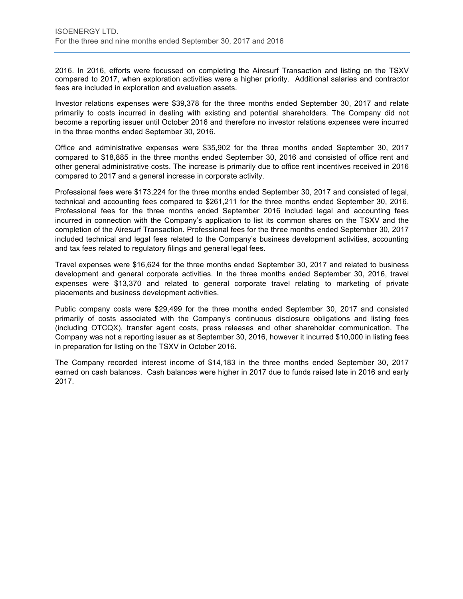2016. In 2016, efforts were focussed on completing the Airesurf Transaction and listing on the TSXV compared to 2017, when exploration activities were a higher priority. Additional salaries and contractor fees are included in exploration and evaluation assets.

Investor relations expenses were \$39,378 for the three months ended September 30, 2017 and relate primarily to costs incurred in dealing with existing and potential shareholders. The Company did not become a reporting issuer until October 2016 and therefore no investor relations expenses were incurred in the three months ended September 30, 2016.

Office and administrative expenses were \$35,902 for the three months ended September 30, 2017 compared to \$18,885 in the three months ended September 30, 2016 and consisted of office rent and other general administrative costs. The increase is primarily due to office rent incentives received in 2016 compared to 2017 and a general increase in corporate activity.

Professional fees were \$173,224 for the three months ended September 30, 2017 and consisted of legal, technical and accounting fees compared to \$261,211 for the three months ended September 30, 2016. Professional fees for the three months ended September 2016 included legal and accounting fees incurred in connection with the Company's application to list its common shares on the TSXV and the completion of the Airesurf Transaction. Professional fees for the three months ended September 30, 2017 included technical and legal fees related to the Company's business development activities, accounting and tax fees related to regulatory filings and general legal fees.

Travel expenses were \$16,624 for the three months ended September 30, 2017 and related to business development and general corporate activities. In the three months ended September 30, 2016, travel expenses were \$13,370 and related to general corporate travel relating to marketing of private placements and business development activities.

Public company costs were \$29,499 for the three months ended September 30, 2017 and consisted primarily of costs associated with the Company's continuous disclosure obligations and listing fees (including OTCQX), transfer agent costs, press releases and other shareholder communication. The Company was not a reporting issuer as at September 30, 2016, however it incurred \$10,000 in listing fees in preparation for listing on the TSXV in October 2016.

The Company recorded interest income of \$14,183 in the three months ended September 30, 2017 earned on cash balances. Cash balances were higher in 2017 due to funds raised late in 2016 and early 2017.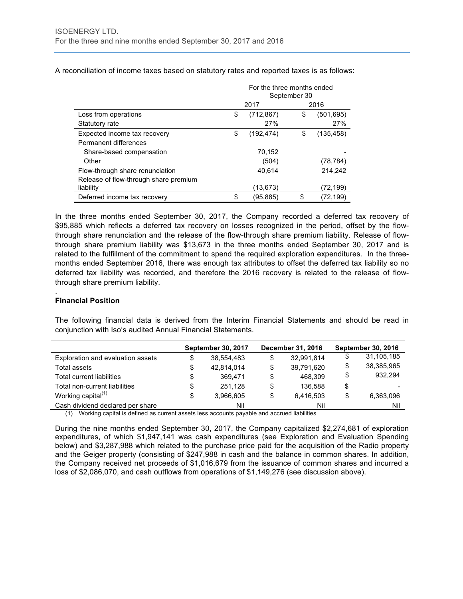|                                       | For the three months ended<br>September 30 |            |    |            |  |  |
|---------------------------------------|--------------------------------------------|------------|----|------------|--|--|
|                                       |                                            | 2017       |    | 2016       |  |  |
| Loss from operations                  | \$                                         | (712, 867) | \$ | (501, 695) |  |  |
| Statutory rate                        |                                            | 27%        |    | 27%        |  |  |
| Expected income tax recovery          | \$                                         | (192, 474) | \$ | (135, 458) |  |  |
| Permanent differences                 |                                            |            |    |            |  |  |
| Share-based compensation              |                                            | 70,152     |    |            |  |  |
| Other                                 |                                            | (504)      |    | (78, 784)  |  |  |
| Flow-through share renunciation       |                                            | 40,614     |    | 214,242    |  |  |
| Release of flow-through share premium |                                            |            |    |            |  |  |
| liability                             |                                            | (13, 673)  |    | (72,199)   |  |  |
| Deferred income tax recovery          | \$                                         | (95,885)   | \$ | (72,199)   |  |  |

A reconciliation of income taxes based on statutory rates and reported taxes is as follows:

In the three months ended September 30, 2017, the Company recorded a deferred tax recovery of \$95,885 which reflects a deferred tax recovery on losses recognized in the period, offset by the flowthrough share renunciation and the release of the flow-through share premium liability. Release of flowthrough share premium liability was \$13,673 in the three months ended September 30, 2017 and is related to the fulfillment of the commitment to spend the required exploration expenditures. In the threemonths ended September 2016, there was enough tax attributes to offset the deferred tax liability so no deferred tax liability was recorded, and therefore the 2016 recovery is related to the release of flowthrough share premium liability.

#### **Financial Position**

.

The following financial data is derived from the Interim Financial Statements and should be read in conjunction with Iso's audited Annual Financial Statements.

|                                   | <b>September 30, 2017</b> |    | <b>December 31, 2016</b> | <b>September 30, 2016</b> |
|-----------------------------------|---------------------------|----|--------------------------|---------------------------|
| Exploration and evaluation assets | \$<br>38.554.483          | S  | 32,991,814               | \$<br>31,105,185          |
| Total assets                      | \$<br>42.814.014          | \$ | 39,791,620               | \$<br>38,385,965          |
| <b>Total current liabilities</b>  | \$<br>369.471             | \$ | 468.309                  | \$<br>932.294             |
| Total non-current liabilities     | \$<br>251.128             | \$ | 136.588                  | \$                        |
| Working capital $(1)$             | \$<br>3.966.605           | \$ | 6.416.503                | \$<br>6.363.096           |
| Cash dividend declared per share  | Nil<br>$\sim$ $\sim$      |    | Nil<br>.                 | Nil                       |

(1) Working capital is defined as current assets less accounts payable and accrued liabilities

During the nine months ended September 30, 2017, the Company capitalized \$2,274,681 of exploration expenditures, of which \$1,947,141 was cash expenditures (see Exploration and Evaluation Spending below) and \$3,287,988 which related to the purchase price paid for the acquisition of the Radio property and the Geiger property (consisting of \$247,988 in cash and the balance in common shares. In addition, the Company received net proceeds of \$1,016,679 from the issuance of common shares and incurred a loss of \$2,086,070, and cash outflows from operations of \$1,149,276 (see discussion above).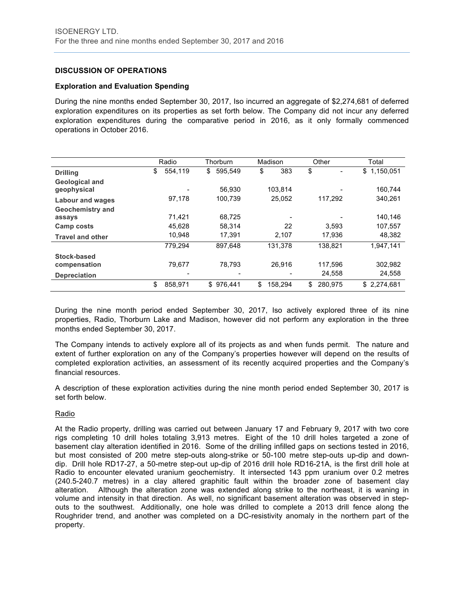# **DISCUSSION OF OPERATIONS**

#### **Exploration and Evaluation Spending**

During the nine months ended September 30, 2017, Iso incurred an aggregate of \$2,274,681 of deferred exploration expenditures on its properties as set forth below. The Company did not incur any deferred exploration expenditures during the comparative period in 2016, as it only formally commenced operations in October 2016.

|                                      | Radio |         |    | Thorburn  |    | Madison |         | Other |         | Total |             |
|--------------------------------------|-------|---------|----|-----------|----|---------|---------|-------|---------|-------|-------------|
| <b>Drilling</b>                      | \$    | 554,119 | \$ | 595,549   | \$ |         | 383     | \$    |         | \$    | 1,150,051   |
| <b>Geological and</b><br>geophysical |       |         |    | 56.930    |    |         | 103.814 |       |         |       | 160.744     |
| <b>Labour and wages</b>              |       | 97,178  |    | 100,739   |    | 25,052  |         |       | 117.292 |       | 340,261     |
| <b>Geochemistry and</b>              |       |         |    |           |    |         |         |       |         |       |             |
| assays                               |       | 71.421  |    | 68.725    |    |         |         |       |         |       | 140.146     |
| Camp costs                           |       | 45.628  |    | 58.314    |    |         | 22      |       | 3.593   |       | 107,557     |
| <b>Travel and other</b>              |       | 10.948  |    | 17.391    |    |         | 2.107   |       | 17.936  |       | 48,382      |
|                                      |       | 779,294 |    | 897.648   |    |         | 131,378 |       | 138,821 |       | 1.947.141   |
| Stock-based                          |       |         |    |           |    |         |         |       |         |       |             |
| compensation                         |       | 79,677  |    | 78.793    |    |         | 26.916  |       | 117.596 |       | 302,982     |
| <b>Depreciation</b>                  |       |         |    |           |    |         |         |       | 24,558  |       | 24,558      |
|                                      | \$    | 858,971 |    | \$976.441 | \$ |         | 158.294 | \$    | 280.975 |       | \$2,274,681 |

During the nine month period ended September 30, 2017, Iso actively explored three of its nine properties, Radio, Thorburn Lake and Madison, however did not perform any exploration in the three months ended September 30, 2017.

The Company intends to actively explore all of its projects as and when funds permit. The nature and extent of further exploration on any of the Company's properties however will depend on the results of completed exploration activities, an assessment of its recently acquired properties and the Company's financial resources.

A description of these exploration activities during the nine month period ended September 30, 2017 is set forth below.

#### Radio

At the Radio property, drilling was carried out between January 17 and February 9, 2017 with two core rigs completing 10 drill holes totaling 3,913 metres. Eight of the 10 drill holes targeted a zone of basement clay alteration identified in 2016. Some of the drilling infilled gaps on sections tested in 2016, but most consisted of 200 metre step-outs along-strike or 50-100 metre step-outs up-dip and downdip. Drill hole RD17-27, a 50-metre step-out up-dip of 2016 drill hole RD16-21A, is the first drill hole at Radio to encounter elevated uranium geochemistry. It intersected 143 ppm uranium over 0.2 metres (240.5-240.7 metres) in a clay altered graphitic fault within the broader zone of basement clay alteration. Although the alteration zone was extended along strike to the northeast, it is waning in volume and intensity in that direction. As well, no significant basement alteration was observed in stepouts to the southwest. Additionally, one hole was drilled to complete a 2013 drill fence along the Roughrider trend, and another was completed on a DC-resistivity anomaly in the northern part of the property.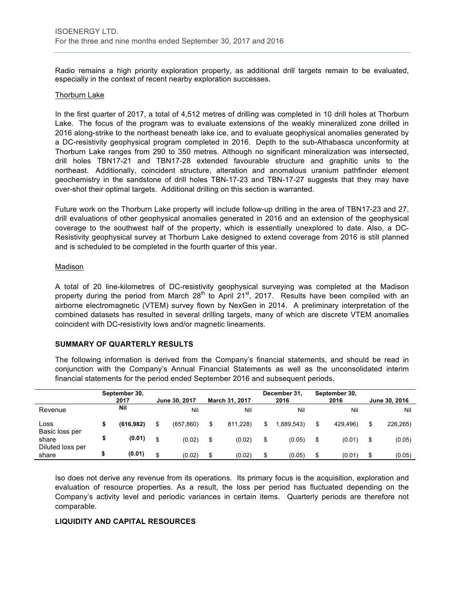Radio remains a high priority exploration property, as additional drill targets remain to be evaluated, especially in the context of recent nearby exploration successes.

#### Thorburn Lake

In the first quarter of 2017, a total of 4,512 metres of drilling was completed in 10 drill holes at Thorburn Lake. The focus of the program was to evaluate extensions of the weakly mineralized zone drilled in 2016 along-strike to the northeast beneath lake ice, and to evaluate geophysical anomalies generated by a DC-resistivity geophysical program completed in 2016. Depth to the sub-Athabasca unconformity at Thorburn Lake ranges from 290 to 350 metres. Although no significant mineralization was intersected, drill holes TBN17-21 and TBN17-28 extended favourable structure and graphitic units to the northeast. Additionally, coincident structure, alteration and anomalous uranium pathfinder element geochemistry in the sandstone of drill holes TBN-17-23 and TBN-17-27 suggests that they may have over-shot their optimal targets. Additional drilling on this section is warranted.

Future work on the Thorburn Lake property will include follow-up drilling in the area of TBN17-23 and 27, drill evaluations of other geophysical anomalies generated in 2016 and an extension of the geophysical coverage to the southwest half of the property, which is essentially unexplored to date. Also, a DC-Resistivity geophysical survey at Thorburn Lake designed to extend coverage from 2016 is still planned and is scheduled to be completed in the fourth quarter of this year.

#### Madison

A total of 20 line-kilometres of DC-resistivity geophysical surveying was completed at the Madison property during the period from March  $28<sup>th</sup>$  to April 21<sup>st</sup>, 2017. Results have been compiled with an airborne electromagnetic (VTEM) survey flown by NexGen in 2014. A preliminary interpretation of the combined datasets has resulted in several drilling targets, many of which are discrete VTEM anomalies coincident with DC-resistivity lows and/or magnetic lineaments.

#### **SUMMARY OF QUARTERLY RESULTS**

The following information is derived from the Company's financial statements, and should be read in conjunction with the Company's Annual Financial Statements as well as the unconsolidated interim financial statements for the period ended September 2016 and subsequent periods.

|                           | September 30,<br>2017 |            | June 30, 2017    | <b>March 31, 2017</b> |    | December 31,<br>2016 | September 30,<br>2016 | June 30, 2016  |
|---------------------------|-----------------------|------------|------------------|-----------------------|----|----------------------|-----------------------|----------------|
| Revenue                   |                       | <b>Nil</b> | Nil              | Nil                   |    | Nil                  | Nil                   | Nil            |
| Loss<br>Basic loss per    |                       | (616, 982) | \$<br>(657, 860) | \$<br>811.228)        | S  | 1.889.543)           | \$<br>429.496)        | \$<br>226,265) |
| share                     |                       | (0.01)     | \$<br>(0.02)     | \$<br>(0.02)          | \$ | (0.05)               | \$<br>(0.01)          | \$<br>(0.05)   |
| Diluted loss per<br>share |                       | (0.01)     | \$<br>(0.02)     | \$<br>(0.02)          | \$ | (0.05)               | \$<br>(0.01)          | \$<br>(0.05)   |

Iso does not derive any revenue from its operations. Its primary focus is the acquisition, exploration and evaluation of resource properties. As a result, the loss per period has fluctuated depending on the Company's activity level and periodic variances in certain items. Quarterly periods are therefore not comparable.

#### **LIQUIDITY AND CAPITAL RESOURCES**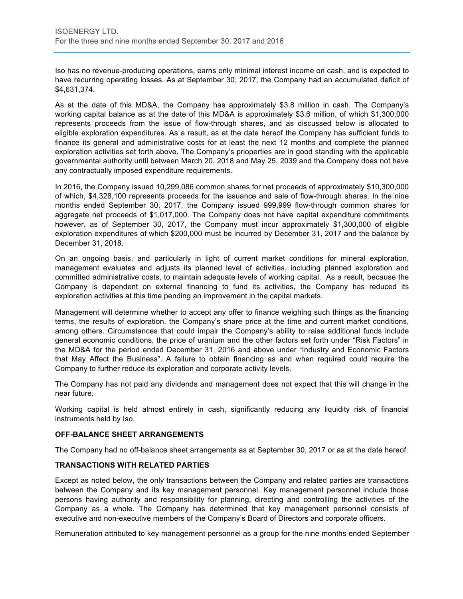Iso has no revenue-producing operations, earns only minimal interest income on cash, and is expected to have recurring operating losses. As at September 30, 2017, the Company had an accumulated deficit of \$4,631,374.

As at the date of this MD&A, the Company has approximately \$3.8 million in cash. The Company's working capital balance as at the date of this MD&A is approximately \$3.6 million, of which \$1,300,000 represents proceeds from the issue of flow-through shares, and as discussed below is allocated to eligible exploration expenditures. As a result, as at the date hereof the Company has sufficient funds to finance its general and administrative costs for at least the next 12 months and complete the planned exploration activities set forth above. The Company's prioperties are in good standing with the applicable governmental authority until between March 20, 2018 and May 25, 2039 and the Company does not have any contractually imposed expenditure requirements.

In 2016, the Company issued 10,299,086 common shares for net proceeds of approximately \$10,300,000 of which, \$4,328,100 represents proceeds for the issuance and sale of flow-through shares. In the nine months ended September 30, 2017, the Company issued 999,999 flow-through common shares for aggregate net proceeds of \$1,017,000. The Company does not have capital expenditure commitments however, as of September 30, 2017, the Company must incur approximately \$1,300,000 of eligible exploration expenditures of which \$200,000 must be incurred by December 31, 2017 and the balance by December 31, 2018.

On an ongoing basis, and particularly in light of current market conditions for mineral exploration, management evaluates and adjusts its planned level of activities, including planned exploration and committed administrative costs, to maintain adequate levels of working capital. As a result, because the Company is dependent on external financing to fund its activities, the Company has reduced its exploration activities at this time pending an improvement in the capital markets.

Management will determine whether to accept any offer to finance weighing such things as the financing terms, the results of exploration, the Company's share price at the time and current market conditions, among others. Circumstances that could impair the Company's ability to raise additional funds include general economic conditions, the price of uranium and the other factors set forth under "Risk Factors" in the MD&A for the period ended December 31, 2016 and above under "Industry and Economic Factors that May Affect the Business". A failure to obtain financing as and when required could require the Company to further reduce its exploration and corporate activity levels.

The Company has not paid any dividends and management does not expect that this will change in the near future.

Working capital is held almost entirely in cash, significantly reducing any liquidity risk of financial instruments held by Iso.

# **OFF-BALANCE SHEET ARRANGEMENTS**

The Company had no off-balance sheet arrangements as at September 30, 2017 or as at the date hereof.

#### **TRANSACTIONS WITH RELATED PARTIES**

Except as noted below, the only transactions between the Company and related parties are transactions between the Company and its key management personnel. Key management personnel include those persons having authority and responsibility for planning, directing and controlling the activities of the Company as a whole. The Company has determined that key management personnel consists of executive and non-executive members of the Company's Board of Directors and corporate officers.

Remuneration attributed to key management personnel as a group for the nine months ended September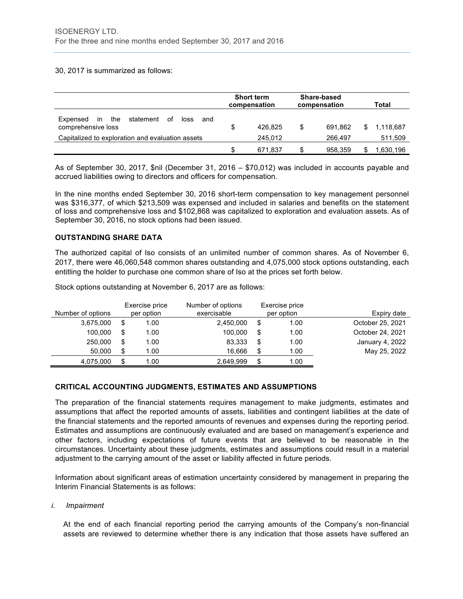#### 30, 2017 is summarized as follows:

|                                                                                |     | <b>Short term</b><br>compensation |   | Share-based<br>compensation | Total |           |
|--------------------------------------------------------------------------------|-----|-----------------------------------|---|-----------------------------|-------|-----------|
| statement<br>the<br>оf<br>Expensed<br>loss<br>in.<br>and<br>comprehensive loss | S   | 426.825                           | S | 691.862                     | S     | 1.118.687 |
| Capitalized to exploration and evaluation assets                               |     | 245.012                           |   | 266.497                     |       | 511,509   |
|                                                                                | \$. | 671.837                           | S | 958.359                     |       | .630,196  |

As of September 30, 2017, \$nil (December 31, 2016 – \$70,012) was included in accounts payable and accrued liabilities owing to directors and officers for compensation.

In the nine months ended September 30, 2016 short-term compensation to key management personnel was \$316,377, of which \$213,509 was expensed and included in salaries and benefits on the statement of loss and comprehensive loss and \$102,868 was capitalized to exploration and evaluation assets. As of September 30, 2016, no stock options had been issued.

# **OUTSTANDING SHARE DATA**

The authorized capital of Iso consists of an unlimited number of common shares. As of November 6, 2017, there were 46,060,548 common shares outstanding and 4,075,000 stock options outstanding, each entitling the holder to purchase one common share of Iso at the prices set forth below.

| Stock options outstanding at November 6, 2017 are as follows: |  |
|---------------------------------------------------------------|--|
|---------------------------------------------------------------|--|

|                   | Exercise price | Number of options |    | Exercise price |                  |
|-------------------|----------------|-------------------|----|----------------|------------------|
| Number of options | per option     | exercisable       |    | per option     | Expiry date      |
| 3,675,000         | \$<br>1.00     | 2,450,000         |    | 1.00           | October 25, 2021 |
| 100.000           | \$<br>1.00     | 100.000           | S  | 1.00           | October 24, 2021 |
| 250,000           | \$<br>1.00     | 83.333            | \$ | 1.00           | January 4, 2022  |
| 50.000            | \$<br>1.00     | 16.666            |    | 1.00           | May 25, 2022     |
| 4,075,000         | \$<br>1.00     | 2,649,999         |    | 1.00           |                  |

#### **CRITICAL ACCOUNTING JUDGMENTS, ESTIMATES AND ASSUMPTIONS**

The preparation of the financial statements requires management to make judgments, estimates and assumptions that affect the reported amounts of assets, liabilities and contingent liabilities at the date of the financial statements and the reported amounts of revenues and expenses during the reporting period. Estimates and assumptions are continuously evaluated and are based on management's experience and other factors, including expectations of future events that are believed to be reasonable in the circumstances. Uncertainty about these judgments, estimates and assumptions could result in a material adjustment to the carrying amount of the asset or liability affected in future periods.

Information about significant areas of estimation uncertainty considered by management in preparing the Interim Financial Statements is as follows:

#### *i. Impairment*

At the end of each financial reporting period the carrying amounts of the Company's non-financial assets are reviewed to determine whether there is any indication that those assets have suffered an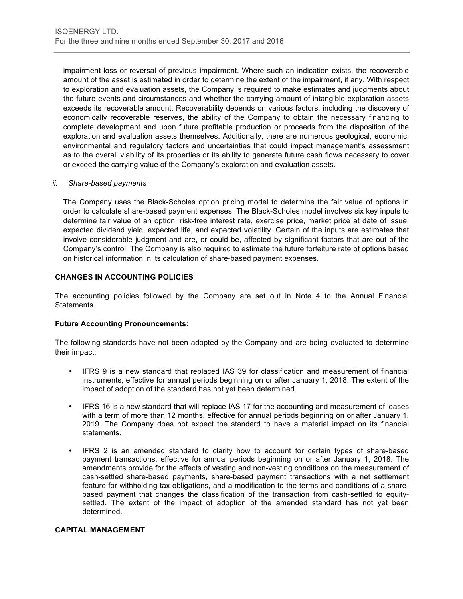impairment loss or reversal of previous impairment. Where such an indication exists, the recoverable amount of the asset is estimated in order to determine the extent of the impairment, if any. With respect to exploration and evaluation assets, the Company is required to make estimates and judgments about the future events and circumstances and whether the carrying amount of intangible exploration assets exceeds its recoverable amount. Recoverability depends on various factors, including the discovery of economically recoverable reserves, the ability of the Company to obtain the necessary financing to complete development and upon future profitable production or proceeds from the disposition of the exploration and evaluation assets themselves. Additionally, there are numerous geological, economic, environmental and regulatory factors and uncertainties that could impact management's assessment as to the overall viability of its properties or its ability to generate future cash flows necessary to cover or exceed the carrying value of the Company's exploration and evaluation assets.

#### *ii. Share-based payments*

The Company uses the Black-Scholes option pricing model to determine the fair value of options in order to calculate share-based payment expenses. The Black-Scholes model involves six key inputs to determine fair value of an option: risk-free interest rate, exercise price, market price at date of issue, expected dividend yield, expected life, and expected volatility. Certain of the inputs are estimates that involve considerable judgment and are, or could be, affected by significant factors that are out of the Company's control. The Company is also required to estimate the future forfeiture rate of options based on historical information in its calculation of share-based payment expenses.

# **CHANGES IN ACCOUNTING POLICIES**

The accounting policies followed by the Company are set out in Note 4 to the Annual Financial Statements.

#### **Future Accounting Pronouncements:**

The following standards have not been adopted by the Company and are being evaluated to determine their impact:

- IFRS 9 is a new standard that replaced IAS 39 for classification and measurement of financial instruments, effective for annual periods beginning on or after January 1, 2018. The extent of the impact of adoption of the standard has not yet been determined.
- IFRS 16 is a new standard that will replace IAS 17 for the accounting and measurement of leases with a term of more than 12 months, effective for annual periods beginning on or after January 1, 2019. The Company does not expect the standard to have a material impact on its financial statements.
- IFRS 2 is an amended standard to clarify how to account for certain types of share-based payment transactions, effective for annual periods beginning on or after January 1, 2018. The amendments provide for the effects of vesting and non-vesting conditions on the measurement of cash-settled share-based payments, share-based payment transactions with a net settlement feature for withholding tax obligations, and a modification to the terms and conditions of a sharebased payment that changes the classification of the transaction from cash-settled to equitysettled. The extent of the impact of adoption of the amended standard has not yet been determined.

## **CAPITAL MANAGEMENT**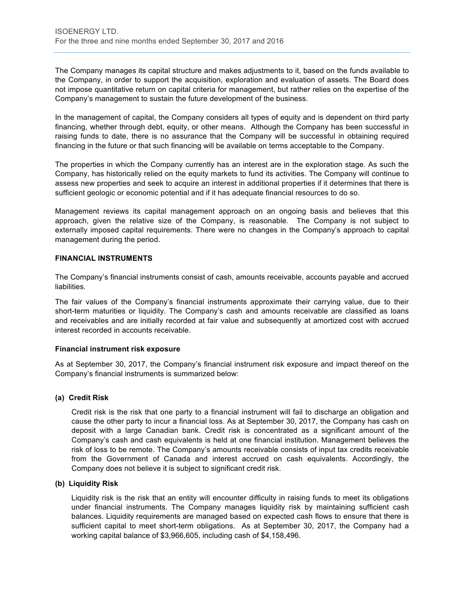The Company manages its capital structure and makes adjustments to it, based on the funds available to the Company, in order to support the acquisition, exploration and evaluation of assets. The Board does not impose quantitative return on capital criteria for management, but rather relies on the expertise of the Company's management to sustain the future development of the business.

In the management of capital, the Company considers all types of equity and is dependent on third party financing, whether through debt, equity, or other means. Although the Company has been successful in raising funds to date, there is no assurance that the Company will be successful in obtaining required financing in the future or that such financing will be available on terms acceptable to the Company.

The properties in which the Company currently has an interest are in the exploration stage. As such the Company, has historically relied on the equity markets to fund its activities. The Company will continue to assess new properties and seek to acquire an interest in additional properties if it determines that there is sufficient geologic or economic potential and if it has adequate financial resources to do so.

Management reviews its capital management approach on an ongoing basis and believes that this approach, given the relative size of the Company, is reasonable. The Company is not subject to externally imposed capital requirements. There were no changes in the Company's approach to capital management during the period.

## **FINANCIAL INSTRUMENTS**

The Company's financial instruments consist of cash, amounts receivable, accounts payable and accrued liabilities.

The fair values of the Company's financial instruments approximate their carrying value, due to their short-term maturities or liquidity. The Company's cash and amounts receivable are classified as loans and receivables and are initially recorded at fair value and subsequently at amortized cost with accrued interest recorded in accounts receivable.

#### **Financial instrument risk exposure**

As at September 30, 2017, the Company's financial instrument risk exposure and impact thereof on the Company's financial instruments is summarized below:

# **(a) Credit Risk**

Credit risk is the risk that one party to a financial instrument will fail to discharge an obligation and cause the other party to incur a financial loss. As at September 30, 2017, the Company has cash on deposit with a large Canadian bank. Credit risk is concentrated as a significant amount of the Company's cash and cash equivalents is held at one financial institution. Management believes the risk of loss to be remote. The Company's amounts receivable consists of input tax credits receivable from the Government of Canada and interest accrued on cash equivalents. Accordingly, the Company does not believe it is subject to significant credit risk.

#### **(b) Liquidity Risk**

Liquidity risk is the risk that an entity will encounter difficulty in raising funds to meet its obligations under financial instruments. The Company manages liquidity risk by maintaining sufficient cash balances. Liquidity requirements are managed based on expected cash flows to ensure that there is sufficient capital to meet short-term obligations. As at September 30, 2017, the Company had a working capital balance of \$3,966,605, including cash of \$4,158,496.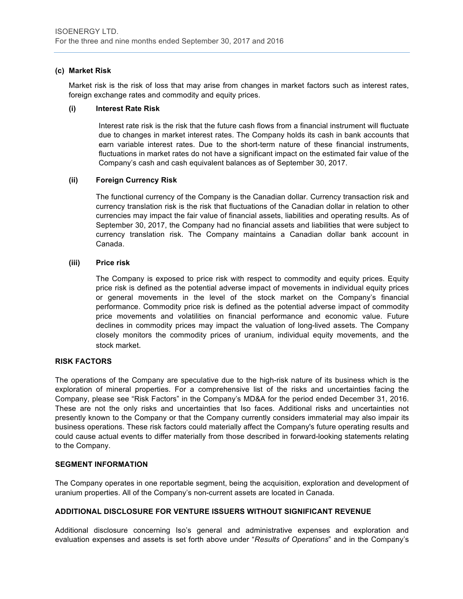### **(c) Market Risk**

Market risk is the risk of loss that may arise from changes in market factors such as interest rates, foreign exchange rates and commodity and equity prices.

#### **(i) Interest Rate Risk**

Interest rate risk is the risk that the future cash flows from a financial instrument will fluctuate due to changes in market interest rates. The Company holds its cash in bank accounts that earn variable interest rates. Due to the short-term nature of these financial instruments, fluctuations in market rates do not have a significant impact on the estimated fair value of the Company's cash and cash equivalent balances as of September 30, 2017.

### **(ii) Foreign Currency Risk**

The functional currency of the Company is the Canadian dollar. Currency transaction risk and currency translation risk is the risk that fluctuations of the Canadian dollar in relation to other currencies may impact the fair value of financial assets, liabilities and operating results. As of September 30, 2017, the Company had no financial assets and liabilities that were subject to currency translation risk. The Company maintains a Canadian dollar bank account in Canada.

### **(iii) Price risk**

The Company is exposed to price risk with respect to commodity and equity prices. Equity price risk is defined as the potential adverse impact of movements in individual equity prices or general movements in the level of the stock market on the Company's financial performance. Commodity price risk is defined as the potential adverse impact of commodity price movements and volatilities on financial performance and economic value. Future declines in commodity prices may impact the valuation of long-lived assets. The Company closely monitors the commodity prices of uranium, individual equity movements, and the stock market. 

#### **RISK FACTORS**

The operations of the Company are speculative due to the high-risk nature of its business which is the exploration of mineral properties. For a comprehensive list of the risks and uncertainties facing the Company, please see "Risk Factors" in the Company's MD&A for the period ended December 31, 2016. These are not the only risks and uncertainties that Iso faces. Additional risks and uncertainties not presently known to the Company or that the Company currently considers immaterial may also impair its business operations. These risk factors could materially affect the Company's future operating results and could cause actual events to differ materially from those described in forward-looking statements relating to the Company.

#### **SEGMENT INFORMATION**

The Company operates in one reportable segment, being the acquisition, exploration and development of uranium properties. All of the Company's non-current assets are located in Canada.

#### **ADDITIONAL DISCLOSURE FOR VENTURE ISSUERS WITHOUT SIGNIFICANT REVENUE**

Additional disclosure concerning Iso's general and administrative expenses and exploration and evaluation expenses and assets is set forth above under "*Results of Operations*" and in the Company's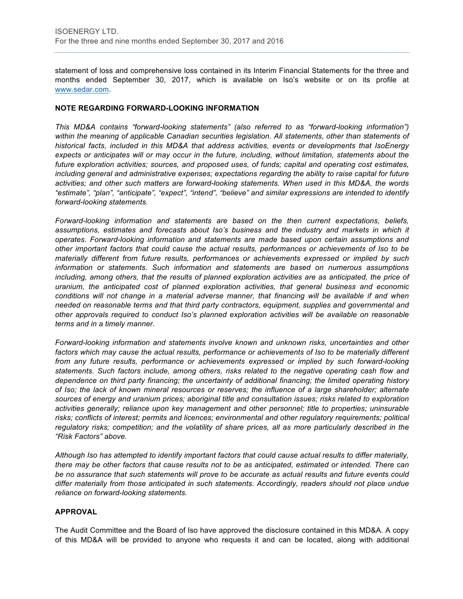statement of loss and comprehensive loss contained in its Interim Financial Statements for the three and months ended September 30, 2017, which is available on Iso's website or on its profile at [www.sedar.com](http://www.sedar.com).

#### **NOTE REGARDING FORWARD-LOOKING INFORMATION**

*This MD&A contains "forward-looking statements" (also referred to as "forward-looking information") within the meaning of applicable Canadian securities legislation. All statements, other than statements of historical facts, included in this MD&A that address activities, events or developments that IsoEnergy expects or anticipates will or may occur in the future, including, without limitation, statements about the future exploration activities; sources, and proposed uses, of funds; capital and operating cost estimates, including general and administrative expenses; expectations regarding the ability to raise capital for future activities; and other such matters are forward-looking statements. When used in this MD&A, the words "estimate", "plan", "anticipate", "expect", "intend", "believe" and similar expressions are intended to identify forward-looking statements.* 

*Forward-looking information and statements are based on the then current expectations, beliefs, assumptions, estimates and forecasts about Iso's business and the industry and markets in which it operates. Forward-looking information and statements are made based upon certain assumptions and other important factors that could cause the actual results, performances or achievements of Iso to be materially different from future results, performances or achievements expressed or implied by such information or statements. Such information and statements are based on numerous assumptions including, among others, that the results of planned exploration activities are as anticipated, the price of uranium, the anticipated cost of planned exploration activities, that general business and economic conditions will not change in a material adverse manner, that financing will be available if and when needed on reasonable terms and that third party contractors, equipment, supplies and governmental and other approvals required to conduct Iso's planned exploration activities will be available on reasonable terms and in a timely manner.* 

*Forward-looking information and statements involve known and unknown risks, uncertainties and other*  factors which may cause the actual results, performance or achievements of Iso to be materially different *from any future results, performance or achievements expressed or implied by such forward-looking statements. Such factors include, among others, risks related to the negative operating cash flow and dependence on third party financing; the uncertainty of additional financing; the limited operating history of Iso; the lack of known mineral resources or reserves; the influence of a large shareholder; alternate sources of energy and uranium prices; aboriginal title and consultation issues; risks related to exploration activities generally; reliance upon key management and other personnel; title to properties; uninsurable risks; conflicts of interest; permits and licences; environmental and other regulatory requirements; political regulatory risks; competition; and the volatility of share prices, all as more particularly described in the "Risk Factors" above.* 

*Although Iso has attempted to identify important factors that could cause actual results to differ materially, there may be other factors that cause results not to be as anticipated, estimated or intended. There can be no assurance that such statements will prove to be accurate as actual results and future events could differ materially from those anticipated in such statements. Accordingly, readers should not place undue reliance on forward-looking statements.*

# **APPROVAL**

The Audit Committee and the Board of Iso have approved the disclosure contained in this MD&A. A copy of this MD&A will be provided to anyone who requests it and can be located, along with additional